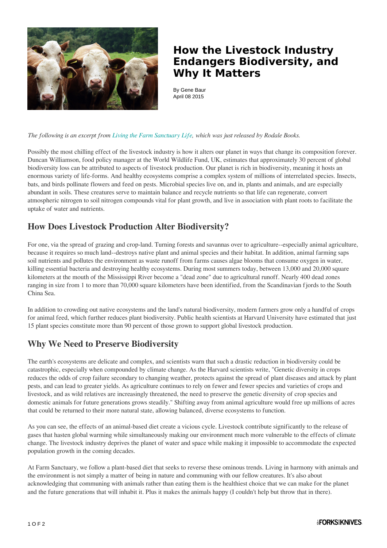

## **How the Livestock Industry Endangers Biodiversity, and Why It Matters**

By Gene Baur April 08 2015

*The following is an excerpt from [Living the Farm Sanctuary Life,](https://www.amazon.com/Living-Farm-Sanctuary-Life-Mindfully/dp/1623364892/) which was just released by Rodale Books.*

Possibly the most chilling effect of the livestock industry is how it alters our planet in ways that change its composition forever. Duncan Williamson, food policy manager at the World Wildlife Fund, UK, estimates that approximately 30 percent of global biodiversity loss can be attributed to aspects of livestock production. Our planet is rich in biodiversity, meaning it hosts an enormous variety of life-forms. And healthy ecosystems comprise a complex system of millions of interrelated species. Insects, bats, and birds pollinate flowers and feed on pests. Microbial species live on, and in, plants and animals, and are especially abundant in soils. These creatures serve to maintain balance and recycle nutrients so that life can regenerate, convert atmospheric nitrogen to soil nitrogen compounds vital for plant growth, and live in association with plant roots to facilitate the uptake of water and nutrients.

## **How Does Livestock Production Alter Biodiversity?**

For one, via the spread of grazing and crop-land. Turning forests and savannas over to agriculture--especially animal agriculture, because it requires so much land--destroys native plant and animal species and their habitat. In addition, animal farming saps soil nutrients and pollutes the environment as waste runoff from farms causes algae blooms that consume oxygen in water, killing essential bacteria and destroying healthy ecosystems. During most summers today, between 13,000 and 20,000 square kilometers at the mouth of the Mississippi River become a "dead zone" due to agricultural runoff. Nearly 400 dead zones ranging in size from 1 to more than 70,000 square kilometers have been identified, from the Scandinavian fjords to the South China Sea.

In addition to crowding out native ecosystems and the land's natural biodiversity, modern farmers grow only a handful of crops for animal feed, which further reduces plant biodiversity. Public health scientists at Harvard University have estimated that just 15 plant species constitute more than 90 percent of those grown to support global livestock production.

## **Why We Need to Preserve Biodiversity**

The earth's ecosystems are delicate and complex, and scientists warn that such a drastic reduction in biodiversity could be catastrophic, especially when compounded by climate change. As the Harvard scientists write, "Genetic diversity in crops reduces the odds of crop failure secondary to changing weather, protects against the spread of plant diseases and attack by plant pests, and can lead to greater yields. As agriculture continues to rely on fewer and fewer species and varieties of crops and livestock, and as wild relatives are increasingly threatened, the need to preserve the genetic diversity of crop species and domestic animals for future generations grows steadily." Shifting away from animal agriculture would free up millions of acres that could be returned to their more natural state, allowing balanced, diverse ecosystems to function.

As you can see, the effects of an animal-based diet create a vicious cycle. Livestock contribute significantly to the release of gases that hasten global warming while simultaneously making our environment much more vulnerable to the effects of climate change. The livestock industry deprives the planet of water and space while making it impossible to accommodate the expected population growth in the coming decades.

At Farm Sanctuary, we follow a plant-based diet that seeks to reverse these ominous trends. Living in harmony with animals and the environment is not simply a matter of being in nature and communing with our fellow creatures. It's also about acknowledging that communing with animals rather than eating them is the healthiest choice that we can make for the planet and the future generations that will inhabit it. Plus it makes the animals happy (I couldn't help but throw that in there).